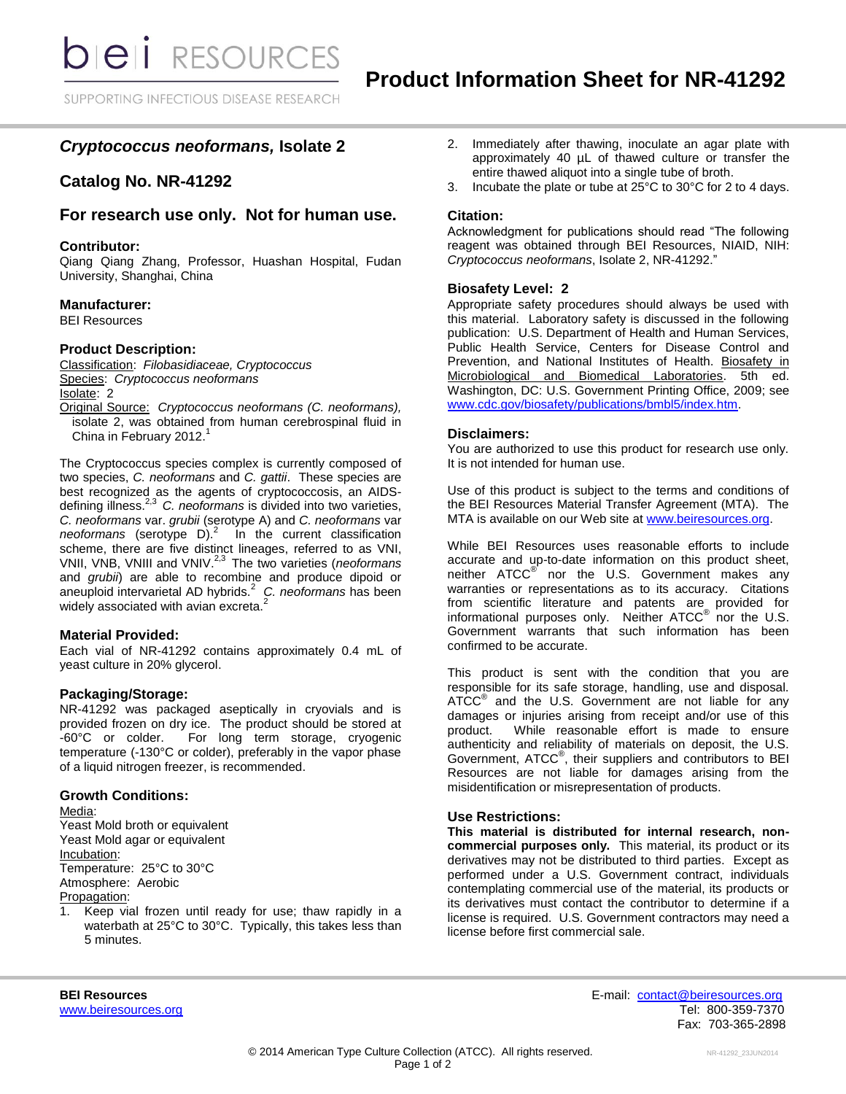SUPPORTING INFECTIOUS DISEASE RESEARCH

# *Cryptococcus neoformans,* **Isolate 2**

## **Catalog No. NR-41292**

# **For research use only. Not for human use.**

### **Contributor:**

Qiang Qiang Zhang, Professor, Huashan Hospital, Fudan University, Shanghai, China

### **Manufacturer:**

BEI Resources

### **Product Description:**

Classification: *Filobasidiaceae, Cryptococcus* Species: *Cryptococcus neoformans* Isolate: 2

Original Source: *Cryptococcus neoformans (C. neoformans),*  isolate 2, was obtained from human cerebrospinal fluid in China in February 2012.<sup>1</sup>

The Cryptococcus species complex is currently composed of two species, *C. neoformans* and *C. gattii*.These species are best recognized as the agents of cryptococcosis, an AIDSdefining illness.2,3 *C. neoformans* is divided into two varieties, *C. neoformans* var. *grubii* (serotype A) and *C. neoformans* var *neoformans* (serotype D). <sup>2</sup>In the current classification scheme, there are five distinct lineages, referred to as VNI, VNII, VNB, VNIII and VNIV. 2,3 The two varieties (*neoformans* and *grubii*) are able to recombine and produce dipoid or aneuploid intervarietal AD hybrids.<sup>2</sup> *C. neoformans* has been widely associated with avian excreta. $^2$ 

#### **Material Provided:**

Each vial of NR-41292 contains approximately 0.4 mL of yeast culture in 20% glycerol.

## **Packaging/Storage:**

NR-41292 was packaged aseptically in cryovials and is provided frozen on dry ice. The product should be stored at -60°C or colder. For long term storage, cryogenic For long term storage, cryogenic temperature (-130°C or colder), preferably in the vapor phase of a liquid nitrogen freezer, is recommended.

### **Growth Conditions:**

Media: Yeast Mold broth or equivalent Yeast Mold agar or equivalent Incubation: Temperature: 25°C to 30°C Atmosphere: Aerobic Propagation:

1. Keep vial frozen until ready for use; thaw rapidly in a waterbath at 25°C to 30°C. Typically, this takes less than 5 minutes.

- 2. Immediately after thawing, inoculate an agar plate with approximately 40 µL of thawed culture or transfer the entire thawed aliquot into a single tube of broth.
- 3. Incubate the plate or tube at 25°C to 30°C for 2 to 4 days.

## **Citation:**

Acknowledgment for publications should read "The following reagent was obtained through BEI Resources, NIAID, NIH: *Cryptococcus neoformans*, Isolate 2, NR-41292."

### **Biosafety Level: 2**

Appropriate safety procedures should always be used with this material. Laboratory safety is discussed in the following publication: U.S. Department of Health and Human Services, Public Health Service, Centers for Disease Control and Prevention, and National Institutes of Health. Biosafety in Microbiological and Biomedical Laboratories. 5th ed. Washington, DC: U.S. Government Printing Office, 2009; see [www.cdc.gov/biosafety/publications/bmbl5/index.htm.](http://www.cdc.gov/biosafety/publications/bmbl5/index.htm)

### **Disclaimers:**

You are authorized to use this product for research use only. It is not intended for human use.

Use of this product is subject to the terms and conditions of the BEI Resources Material Transfer Agreement (MTA). The MTA is available on our Web site at [www.beiresources.org.](http://www.beiresources.org/)

While BEI Resources uses reasonable efforts to include accurate and up-to-date information on this product sheet, neither ATCC<sup>®</sup> nor the U.S. Government makes any warranties or representations as to its accuracy. Citations from scientific literature and patents are provided for informational purposes only. Neither ATCC<sup>®</sup> nor the U.S. Government warrants that such information has been confirmed to be accurate.

This product is sent with the condition that you are responsible for its safe storage, handling, use and disposal. ATCC<sup>®</sup> and the U.S. Government are not liable for any damages or injuries arising from receipt and/or use of this product. While reasonable effort is made to ensure authenticity and reliability of materials on deposit, the U.S. Government, ATCC® , their suppliers and contributors to BEI Resources are not liable for damages arising from the misidentification or misrepresentation of products.

#### **Use Restrictions:**

**This material is distributed for internal research, noncommercial purposes only.** This material, its product or its derivatives may not be distributed to third parties. Except as performed under a U.S. Government contract, individuals contemplating commercial use of the material, its products or its derivatives must contact the contributor to determine if a license is required. U.S. Government contractors may need a license before first commercial sale.

**BEI Resources** E-mail: [contact@beiresources.org](mailto:contact@beiresources.org) [www.beiresources.org](http://www.beiresources.org/) **Tel: 800-359-7370** Fax: 703-365-2898